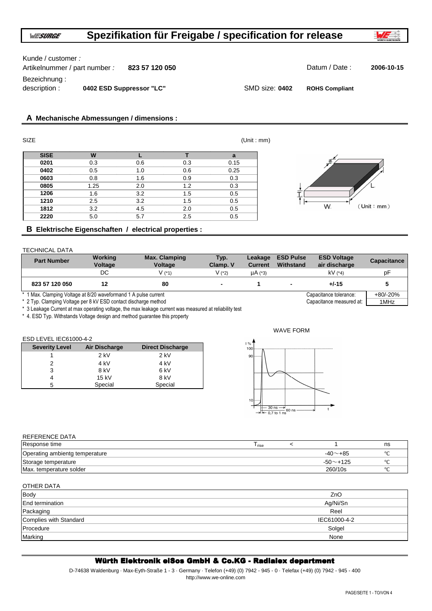## Kunde / customer :

| Artikelnummer / part number : | 823 57 120 050           |                | Datum / Date:         | 2006-10-15 |
|-------------------------------|--------------------------|----------------|-----------------------|------------|
| Bezeichnung :                 |                          |                |                       |            |
| description :                 | 0402 ESD Suppressor "LC" | SMD size: 0402 | <b>ROHS Compliant</b> |            |

# **A Mechanische Abmessungen / dimensions :**

| <b>SIZE</b> |      |     |     | (Unit : mm) |   |
|-------------|------|-----|-----|-------------|---|
| <b>SISE</b> | W    |     |     | a           |   |
| 0201        | 0.3  | 0.6 | 0.3 | 0.15        |   |
| 0402        | 0.5  | 1.0 | 0.6 | 0.25        |   |
| 0603        | 0.8  | 1.6 | 0.9 | 0.3         |   |
| 0805        | 1.25 | 2.0 | 1.2 | 0.3         |   |
| 1206        | 1.6  | 3.2 | 1.5 | 0.5         |   |
| 1210        | 2.5  | 3.2 | 1.5 | 0.5         | ⊷ |
| 1812        | 3.2  | 4.5 | 2.0 | 0.5         |   |
| 2220        | 5.0  | 5.7 | 2.5 | 0.5         |   |



# **B Elektrische Eigenschaften / electrical properties :**

## TECHNICAL DATA

| <b>Part Number</b>                                              | Working<br>Voltage | Max. Clamping<br><b>Voltage</b> | Typ.<br>Clamp. V | Leakage<br><b>Current</b> | <b>ESD Pulse</b><br>Withstand | <b>ESD Voltage</b><br>air discharge | <b>Capacitance</b> |
|-----------------------------------------------------------------|--------------------|---------------------------------|------------------|---------------------------|-------------------------------|-------------------------------------|--------------------|
|                                                                 | DC.                | V (1)                           | V (2)            | µA (*3)                   |                               | $kV$ (*4)                           | рF                 |
| 823 57 120 050                                                  |                    | 80                              |                  |                           |                               | $+/-15$                             |                    |
| * 1 Max. Clamping Voltage at 8/20 waveformand 1 A pulse current |                    |                                 |                  |                           |                               | Capacitance tolerance:              | $+80/-20%$         |
| * 2 Typ. Clamping Voltage per 8 kV ESD contact discharge method |                    |                                 |                  |                           |                               | Capacitance measured at:            | 1MHz               |

\* 3 Leakage Current at max operating voltage, the max leakage current was measured at reliability test

\* 4. ESD Typ. Withstands Voltage design and method guarantee this property

## ESD LEVEL IEC61000-4-2

| <b>Severity Level</b> | Air Discharge | <b>Direct Discharge</b> |
|-----------------------|---------------|-------------------------|
|                       | $2$ kV        | $2$ kV                  |
|                       | 4 kV          | 4 kV                    |
| 3                     | 8 kV          | 6 kV                    |
| 4                     | 15 kV         | 8 kV                    |
| 5                     | Special       | Special                 |



# REFERENCE DATA

 $\overline{a}$  on  $\overline{b}$  and  $\overline{b}$  and  $\overline{b}$ 

| Response time                  | <sup>I</sup> rise |                | ns       |
|--------------------------------|-------------------|----------------|----------|
| Operating ambientg temperature |                   | $-40$ $-+85$   | $\Omega$ |
| Storage temperature            |                   | $-50$ $-$ +125 |          |
| Max. temperature solder        |                   | 260/10s        | $\Omega$ |

| OTHER DATA             |              |
|------------------------|--------------|
| <b>Body</b>            | ZnO          |
| End termination        | Ag/Ni/Sn     |
| Packaging              | Reel         |
| Complies with Standard | IEC61000-4-2 |
| Procedure              | Solgel       |
| Marking                | None         |
|                        |              |

# Würth Elektronik eiSos GmbH & Co.KG - Radialex department

D-74638 Waldenburg · Max-Eyth-Straße 1 - 3 · Germany · Telefon (+49) (0) 7942 - 945 - 0 · Telefax (+49) (0) 7942 - 945 - 400 http://www.we-online.com

#### PAGE/SEITE 1 - TO/VON 4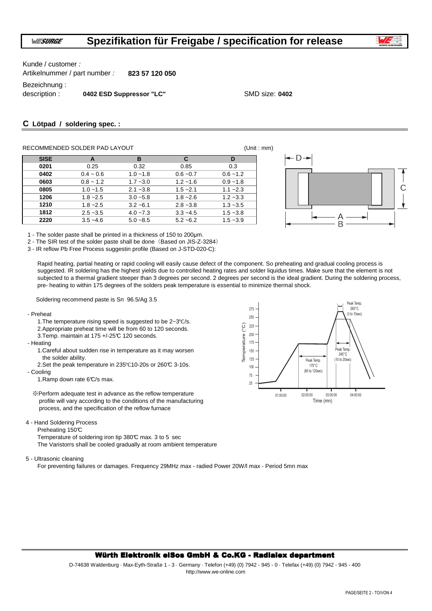

Kunde / customer :

Artikelnummer / part number : **823 57 120 050**

Bezeichnung :

description : **0402 ESD Suppressor "LC"** SMD size: 0402

# **C Lötpad / soldering spec. :**

## RECOMMENDED SOLDER PAD LAYOUT **EXAMPLE 2018** (Unit : mm)

| <b>SISE</b> | A           | в           | C           | D           |
|-------------|-------------|-------------|-------------|-------------|
| 0201        | 0.25        | 0.32        | 0.85        | 0.3         |
| 0402        | $0.4 - 0.6$ | $1.0 - 1.8$ | $0.6 - 0.7$ | $0.6 - 1.2$ |
| 0603        | $0.8 - 1.2$ | $1.7 - 3.0$ | $1.2 - 1.6$ | $0.9 - 1.8$ |
| 0805        | $1.0 - 1.5$ | $2.1 - 3.8$ | $1.5 - 2.1$ | $1.1 - 2.3$ |
| 1206        | $1.8 - 2.5$ | $3.0 - 5.8$ | $1.8 - 2.6$ | $1.2 - 3.3$ |
| 1210        | $1.8 - 2.5$ | $3.2 - 6.1$ | $2.8 - 3.8$ | $1.3 - 3.5$ |
| 1812        | $2.5 - 3.5$ | $4.0 - 7.3$ | $3.3 - 4.5$ | $1.5 - 3.8$ |
| 2220        | $3.5 - 4.6$ | $5.0 - 8.5$ | $5.2 - 6.2$ | $1.5 - 3.9$ |



1 - The solder paste shall be printed in a thickness of 150 to 200µm.

2 - The SIR test of the solder paste shall be done (Based on JIS-Z-3284)

3 - IR reflow Pb Free Process suggestin profile (Based on J-STD-020-C):

Rapid heating, partial heating or rapid cooling will easily cause defect of the component. So preheating and gradual cooling process is suggested. IR soldering has the highest yields due to controlled heating rates and solder liquidus times. Make sure that the element is not subjected to a thermal gradient steeper than 3 degrees per second. 2 degrees per second is the ideal gradient. During the soldering process, pre- heating to within 175 degrees of the solders peak temperature is essential to minimize thermal shock.

Soldering recommend paste is Sn 96.5/Ag 3.5

- Preheat
	- 1.The temperature rising speed is suggested to be 2~3℃/s. 2.Appropriate preheat time will be from 60 to 120 seconds.

3.Temp. maintain at 175 +/-25°C 120 seconds.

- Heating

- 1.Careful about sudden rise in temperature as it may worsen the solder ability.
- 2.Set the peak temperature in 235℃10-20s or 260°C 3-10s.

- Cooling

1.Ramp down rate 6°C/s max.

- ※Perform adequate test in advance as the reflow temperature profile will vary according to the conditions of the manufacturing process, and the specification of the reflow furnace
- 4 Hand Soldering Process

Preheating 150°C

Temperature of soldering iron tip 380°C max. 3 to 5 sec The Varistorrs shall be cooled gradually at room ambient temperature

5 - Ultrasonic cleaning

For preventing failures or damages. Frequency 29MHz max - radied Power 20W/l max - Period 5mn max 175  $\frac{1}{2}$ 



#### Würth Elektronik eiSos GmbH & Co.KG - Radialex department Würth Elektronik eiSos GmbH & Co.KG - Radialex department

D-74638 Waldenburg · Max-Eyth-Straße 1 - 3 · Germany · Telefon (+49) (0) 7942 - 945 - 0 · Telefax (+49) (0) 7942 - 945 - 400 http://www.we-online.com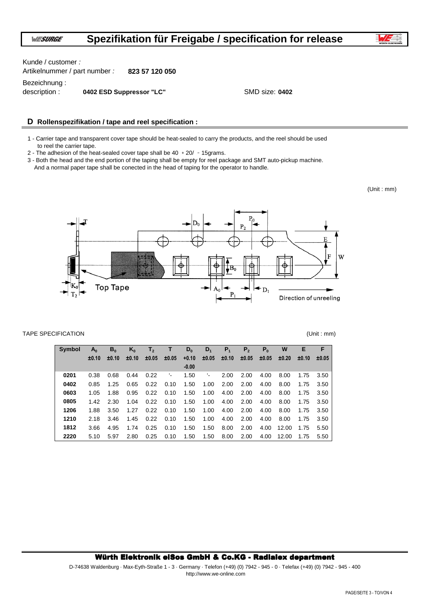Artikelnummer / part number : **823 57 120 050** Kunde / customer :

Bezeichnung :

description : **0402 ESD Suppressor "LC"** SMD size: 0402

## **D Rollenspezifikation / tape and reel specification :**

1 - Carrier tape and transparent cover tape should be heat-sealed to carry the products, and the reel should be used to reel the carrier tape.

2 - The adhesion of the heat-sealed cover tape shall be  $40 + 20/ -15$ grams.

3 - Both the head and the end portion of the taping shall be empty for reel package and SMT auto-pickup machine. And a normal paper tape shall be conected in the head of taping for the operator to handle.

(Unit : mm)



#### TAPE SPECIFICATION (Unit : mm)

| <b>Symbol</b> | $A_0$ | $B_0$ | $K_0$ | T <sub>2</sub> | т.    | $D_0$   | $D_1$ | P <sub>1</sub> | P <sub>2</sub> | P <sub>0</sub> | W     | Е     | F     |
|---------------|-------|-------|-------|----------------|-------|---------|-------|----------------|----------------|----------------|-------|-------|-------|
|               | ±0.10 | ±0.10 | ±0.10 | ±0.05          | ±0.05 | $+0.10$ | ±0.05 | ±0.10          | ±0.05          | ±0.05          | ±0.20 | ±0.10 | ±0.05 |
|               |       |       |       |                |       | $-0.00$ |       |                |                |                |       |       |       |
| 0201          | 0.38  | 0.68  | 0.44  | 0.22           | ٠.    | 1.50    | ٠.    | 2.00           | 2.00           | 4.00           | 8.00  | 1.75  | 3.50  |
| 0402          | 0.85  | 1.25  | 0.65  | 0.22           | 0.10  | 1.50    | 1.00  | 2.00           | 2.00           | 4.00           | 8.00  | 1.75  | 3.50  |
| 0603          | 1.05  | 1.88  | 0.95  | 0.22           | 0.10  | 1.50    | 1.00  | 4.00           | 2.00           | 4.00           | 8.00  | 1.75  | 3.50  |
| 0805          | 1.42  | 2.30  | 1.04  | 0.22           | 0.10  | 1.50    | 1.00  | 4.00           | 2.00           | 4.00           | 8.00  | 1.75  | 3.50  |
| 1206          | 1.88  | 3.50  | 1.27  | 0.22           | 0.10  | 1.50    | 1.00  | 4.00           | 2.00           | 4.00           | 8.00  | 1.75  | 3.50  |
| 1210          | 2.18  | 3.46  | 1.45  | 0.22           | 0.10  | 1.50    | 1.00  | 4.00           | 2.00           | 4.00           | 8.00  | 1.75  | 3.50  |
| 1812          | 3.66  | 4.95  | 1.74  | 0.25           | 0.10  | 1.50    | 1.50  | 8.00           | 2.00           | 4.00           | 12.00 | 1.75  | 5.50  |
| 2220          | 5.10  | 5.97  | 2.80  | 0.25           | 0.10  | 1.50    | 1.50  | 8.00           | 2.00           | 4.00           | 12.00 | 1.75  | 5.50  |

#### Würth Elektronik eiSos GmbH & Co.KG - Radialex department

D-74638 Waldenburg · Max-Eyth-Straße 1 - 3 · Germany · Telefon (+49) (0) 7942 - 945 - 0 · Telefax (+49) (0) 7942 - 945 - 400 http://www.we-online.com